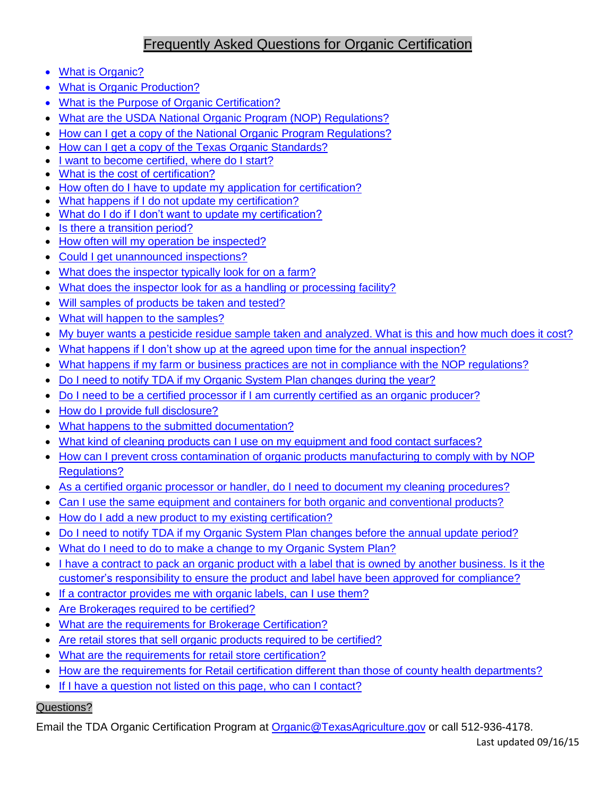# Frequently Asked Questions for Organic Certification

- [What is Organic?](#page-1-0)
- [What is Organic Production?](#page-1-1)
- [What is the Purpose of Organic Certification?](#page-1-2)
- [What are the USDA National Organic Program \(NOP\) Regulations?](#page-1-3)
- [How can I get a copy of the National Organic Program Regulations?](#page-1-4)
- [How can I get a copy of the Texas Organic Standards?](#page-1-5)
- [I want to become certified, where do I start?](#page-1-6)
- [What is the cost of certification?](#page-1-7)
- [How often do I have to update my application for](#page-1-8) certification?
- [What happens if I do not update my certification?](#page-1-9)
- [What do I do if I don't want to update my certification?](#page-2-0)
- [Is there a transition period?](#page-2-1)
- [How often will my operation be inspected?](#page-2-2)
- [Could I get unannounced inspections?](#page-2-3)
- [What does the inspector typically look for on a farm?](#page-2-4)
- [What does the inspector look for as a handling or processing facility?](#page-2-5)
- [Will samples of products be taken and tested?](#page-3-0)
- [What will happen to the samples?](#page-3-1)
- [My buyer wants a pesticide residue sample taken and analyzed. What is this and how much does it cost?](#page-3-2)
- [What happens if I don't show up at the agreed upon time for the annual inspection?](#page-3-3)
- [What happens if my farm or business practices are not in compliance with the NOP regulations?](#page-3-4)
- [Do I need to notify TDA if my Organic System Plan changes during the year?](#page-3-5)
- [Do I need to be a certified processor if I am currently certified as an organic producer?](#page-3-6)
- [How do I provide full disclosure?](#page-3-7)
- [What happens to the submitted documentation?](#page-4-0)
- [What kind of cleaning products can I use on my equipment and food contact surfaces?](#page-4-1)
- How can I prevent cross contamination of organic products manufacturing to comply with by NOP [Regulations?](#page-4-2)
- [As a certified organic processor or handler, do I need to document my cleaning procedures?](#page-4-3)
- [Can I use the same equipment and containers for both organic and conventional products?](#page-4-4)
- [How do I add a new product to my existing certification?](#page-4-5)
- [Do I need to notify TDA if my Organic System Plan changes before the annual update period?](#page-5-0)
- [What do I need to do to make a change to my Organic System Plan?](#page-5-1)
- [I have a contract to pack an organic product with a label that is owned by another business. Is it the](#page-5-2) [customer's responsibility to ensure the product and label have been approved for compliance?](#page-5-2)
- [If a contractor provides me with organic labels, can I use them?](#page-5-3)
- [Are Brokerages required to be certified?](#page-6-0)
- [What are the requirements for Brokerage Certification?](#page-6-1)
- [Are retail stores that sell organic products required to be certified?](#page-6-2)
- [What are the requirements for retail store certification?](#page-6-3)
- [How are the requirements for Retail certification different than those of county health departments?](#page-6-4)
- [If I have a question not listed on this page, who can I contact?](#page-6-5)

## Questions?

Email the TDA Organic Certification Program at [Organic@TexasAgriculture.gov](mailto:Organic@TexasAgriculture.gov) or call 512-936-4178.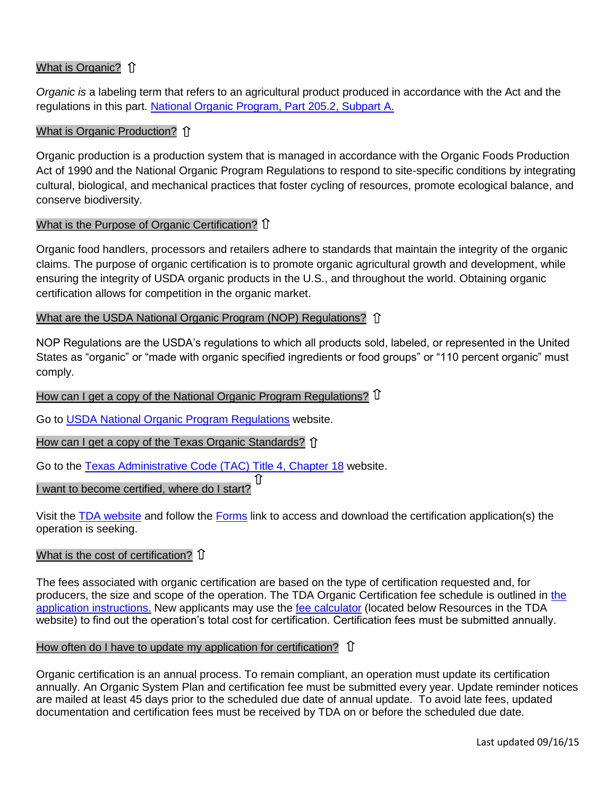### <span id="page-1-0"></span>What is Organic? 1

*Organic is* a labeling term that refers to an agricultural product produced in accordance with the Act and the regulations in this part. [National Organic Program,](http://www.ecfr.gov/cgi-bin/text-idx?c=ecfr&SID=f1de9efce3d5525f4a17fe4e3892612e&rgn=div8&view=text&node=7:3.1.1.9.32.1.354.2&idno=7) Part 205.2, Subpart A.

#### <span id="page-1-1"></span>What is Organic Production? 1

Organic production is a production system that is managed in accordance with the Organic Foods Production Act of 1990 and the National Organic Program Regulations to respond to site-specific conditions by integrating cultural, biological, and mechanical practices that foster cycling of resources, promote ecological balance, and conserve biodiversity.

#### <span id="page-1-2"></span>What is the Purpose of Organic Certification? 1

Organic food handlers, processors and retailers adhere to standards that maintain the integrity of the organic claims. The purpose of organic certification is to promote organic agricultural growth and development, while ensuring the integrity of USDA organic products in the U.S., and throughout the world. Obtaining organic certification allows for competition in the organic market.

#### <span id="page-1-3"></span>What are the USDA National Organic Program (NOP) Regulations? 1

NOP Regulations are the USDA's regulations to which all products sold, labeled, or represented in the United States as "organic" or "made with organic specified ingredients or food groups" or "110 percent organic" must comply.

### <span id="page-1-4"></span>How can I get a copy of the National Organic Program Regulations?  $\hat{U}$

Go to [USDA National Organic Program Regulations](http://www.ecfr.gov/cgi-bin/text-idx?rgn=div5&node=7:3.1.1.9.32) website.

#### <span id="page-1-5"></span>How can I get a copy of the Texas Organic Standards? 1

Go to the [Texas Administrative Code \(TAC\) Title 4, Chapter 18](http://texreg.sos.state.tx.us/public/readtac$ext.ViewTAC?tac_view=4&ti=4&pt=1&ch=18) website.

#### <span id="page-1-6"></span>ſſ I want to become certified, where do I start?

Visit the [TDA website](http://www.texasagriculture.gov/) and follow the [Forms](http://www.texasagriculture.gov/RegulatoryPrograms/Organics/OrganicsForms.aspx) link to access and download the certification application(s) the operation is seeking.

#### <span id="page-1-7"></span>What is the cost of certification?  $\operatorname{\widehat{I}}$

The fees associated with organic certification are based on the type of certification requested and, for producers, the size and scope of the operation. The TDA Organic Certification fee schedule is outlined in [the](http://www.texasagriculture.gov/Portals/0/forms/REG/Organics/ROR_600_instructions.pdf)  application [instructions.](http://www.texasagriculture.gov/Portals/0/forms/REG/Organics/ROR_600_instructions.pdf) New applicants may use the [fee calculator](http://www.texasagriculture.gov/RegulatoryPrograms/Organics.aspx) (located below Resources in the TDA website) to find out the operation's total cost for certification. Certification fees must be submitted annually.

#### <span id="page-1-8"></span>How often do I have to update my application for certification? 1

<span id="page-1-9"></span>Organic certification is an annual process. To remain compliant, an operation must update its certification annually. An Organic System Plan and certification fee must be submitted every year. Update reminder notices are mailed at least 45 days prior to the scheduled due date of annual update. To avoid late fees, updated documentation and certification fees must be received by TDA on or before the scheduled due date.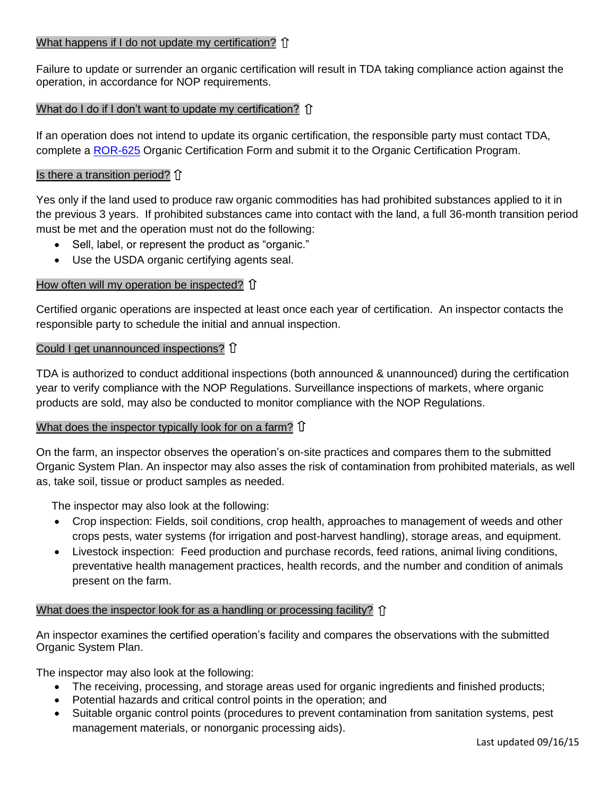#### What happens if I do not update my certification?  $\mathbf{\hat{I}}$

Failure to update or surrender an organic certification will result in TDA taking compliance action against the operation, in accordance for NOP requirements.

#### <span id="page-2-0"></span>What do I do if I don't want to update my certification?  $\hat{U}$

If an operation does not intend to update its organic certification, the responsible party must contact TDA, complete a [ROR-625](http://www.texasagriculture.gov/Portals/0/forms/REG/Organics/ROR_625_Surrender_Form.pdf) Organic Certification Form and submit it to the Organic Certification Program.

#### <span id="page-2-1"></span>Is there a transition period?  $\hat{U}$

Yes only if the land used to produce raw organic commodities has had prohibited substances applied to it in the previous 3 years. If prohibited substances came into contact with the land, a full 36-month transition period must be met and the operation must not do the following:

- Sell, label, or represent the product as "organic."
- Use the USDA organic certifying agents seal.

#### <span id="page-2-2"></span>How often will my operation be inspected? 1

Certified organic operations are inspected at least once each year of certification. An inspector contacts the responsible party to schedule the initial and annual inspection.

#### <span id="page-2-3"></span>Could I get unannounced inspections?  $\hat{U}$

TDA is authorized to conduct additional inspections (both announced & unannounced) during the certification year to verify compliance with the NOP Regulations. Surveillance inspections of markets, where organic products are sold, may also be conducted to monitor compliance with the NOP Regulations.

#### <span id="page-2-4"></span>What does the inspector typically look for on a farm?  $\hat{U}$

On the farm, an inspector observes the operation's on-site practices and compares them to the submitted Organic System Plan. An inspector may also asses the risk of contamination from prohibited materials, as well as, take soil, tissue or product samples as needed.

The inspector may also look at the following:

- Crop inspection: Fields, soil conditions, crop health, approaches to management of weeds and other crops pests, water systems (for irrigation and post-harvest handling), storage areas, and equipment.
- Livestock inspection: Feed production and purchase records, feed rations, animal living conditions, preventative health management practices, health records, and the number and condition of animals present on the farm.

#### <span id="page-2-5"></span>What does the inspector look for as a handling or processing facility?  $\hat{p}$

An inspector examines the certified operation's facility and compares the observations with the submitted Organic System Plan.

The inspector may also look at the following:

- The receiving, processing, and storage areas used for organic ingredients and finished products;
- Potential hazards and critical control points in the operation; and
- Suitable organic control points (procedures to prevent contamination from sanitation systems, pest management materials, or nonorganic processing aids).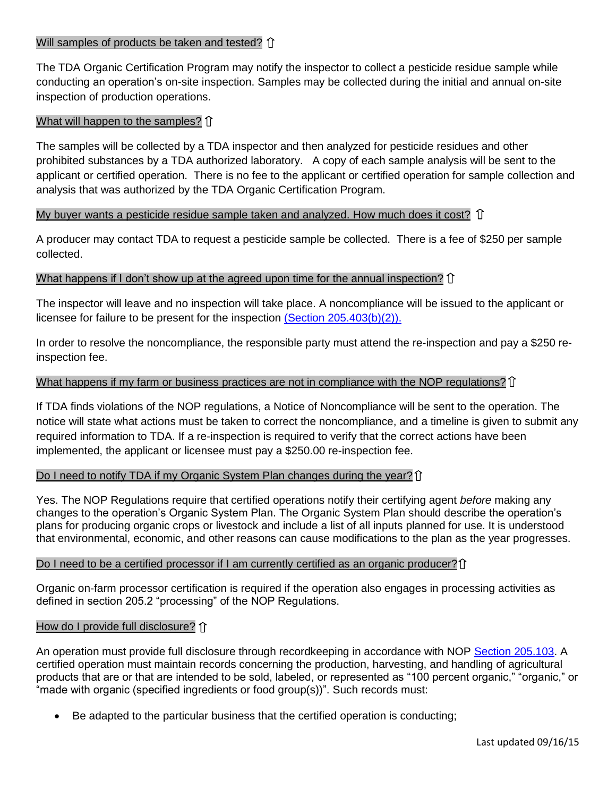#### <span id="page-3-0"></span>Will samples of products be taken and tested? 1

The TDA Organic Certification Program may notify the inspector to collect a pesticide residue sample while conducting an operation's on-site inspection. Samples may be collected during the initial and annual on-site inspection of production operations.

#### <span id="page-3-1"></span>What will happen to the samples? 1

The samples will be collected by a TDA inspector and then analyzed for pesticide residues and other prohibited substances by a TDA authorized laboratory. A copy of each sample analysis will be sent to the applicant or certified operation. There is no fee to the applicant or certified operation for sample collection and analysis that was authorized by the TDA Organic Certification Program.

#### <span id="page-3-2"></span>My buyer wants a pesticide residue sample taken and analyzed. How much does it cost?  $\hat{U}$

A producer may contact TDA to request a pesticide sample be collected. There is a fee of \$250 per sample collected.

#### <span id="page-3-3"></span>What happens if I don't show up at the agreed upon time for the annual inspection?  $\hat{I}$

The inspector will leave and no inspection will take place. A noncompliance will be issued to the applicant or licensee for failure to be present for the inspection [\(Section 205.403\(b\)\(2\)\).](http://www.ecfr.gov/cgi-bin/text-idx?rgn=div5&node=7:3.1.1.9.32#se7.3.205_1403) 

In order to resolve the noncompliance, the responsible party must attend the re-inspection and pay a \$250 reinspection fee.

#### <span id="page-3-4"></span>What happens if my farm or business practices are not in compliance with the NOP regulations?  $\hat{U}$

If TDA finds violations of the NOP regulations, a Notice of Noncompliance will be sent to the operation. The notice will state what actions must be taken to correct the noncompliance, and a timeline is given to submit any required information to TDA. If a re-inspection is required to verify that the correct actions have been implemented, the applicant or licensee must pay a \$250.00 re-inspection fee.

#### <span id="page-3-5"></span>Do I need to notify TDA if my Organic System Plan changes during the year?

Yes. The NOP Regulations require that certified operations notify their certifying agent *before* making any changes to the operation's Organic System Plan. The Organic System Plan should describe the operation's plans for producing organic crops or livestock and include a list of all inputs planned for use. It is understood that environmental, economic, and other reasons can cause modifications to the plan as the year progresses.

#### <span id="page-3-6"></span>Do I need to be a certified processor if I am currently certified as an organic producer?  $\hat{I}$

Organic on-farm processor certification is required if the operation also engages in processing activities as defined in section 205.2 "processing" of the NOP Regulations.

#### <span id="page-3-7"></span>How do I provide full disclosure? 1

An operation must provide full disclosure through recordkeeping in accordance with NOP [Section 205.103.](http://www.ecfr.gov/cgi-bin/text-idx?c=ecfr&SID=0fbfedb0ad979bae21d0dc0bff11af0f&rgn=div8&view=text&node=7:3.1.1.9.32.2.354.4&idno=7) A certified operation must maintain records concerning the production, harvesting, and handling of agricultural products that are or that are intended to be sold, labeled, or represented as "100 percent organic," "organic," or "made with organic (specified ingredients or food group(s))". Such records must:

Be adapted to the particular business that the certified operation is conducting;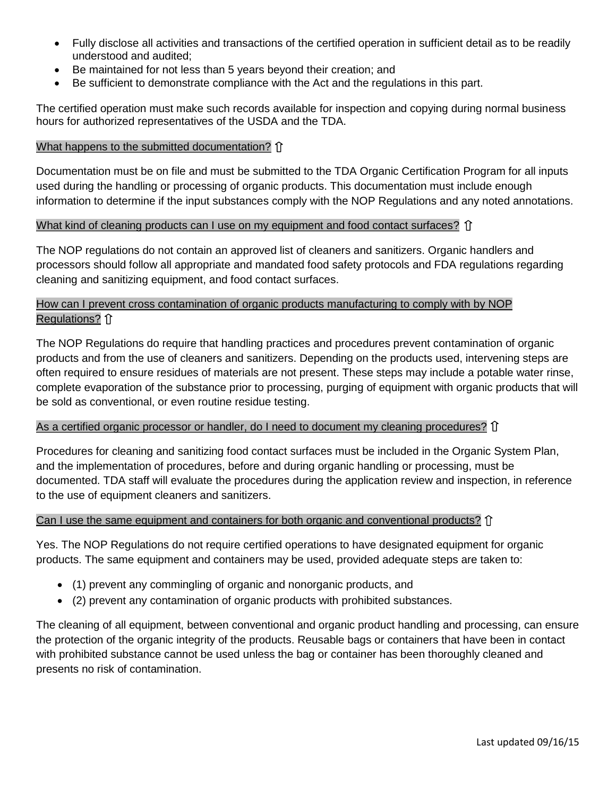- Fully disclose all activities and transactions of the certified operation in sufficient detail as to be readily understood and audited;
- Be maintained for not less than 5 years beyond their creation; and
- Be sufficient to demonstrate compliance with the Act and the regulations in this part.

The certified operation must make such records available for inspection and copying during normal business hours for authorized representatives of the USDA and the TDA.

#### <span id="page-4-0"></span>What happens to the submitted documentation? 1

Documentation must be on file and must be submitted to the TDA Organic Certification Program for all inputs used during the handling or processing of organic products. This documentation must include enough information to determine if the input substances comply with the NOP Regulations and any noted annotations.

#### <span id="page-4-1"></span>What kind of cleaning products can I use on my equipment and food contact surfaces?  $\hat{U}$

The NOP regulations do not contain an approved list of cleaners and sanitizers. Organic handlers and processors should follow all appropriate and mandated food safety protocols and FDA regulations regarding cleaning and sanitizing equipment, and food contact surfaces.

#### <span id="page-4-2"></span>How can I prevent cross contamination of organic products manufacturing to comply with by NOP Regulations? 1

The NOP Regulations do require that handling practices and procedures prevent contamination of organic products and from the use of cleaners and sanitizers. Depending on the products used, intervening steps are often required to ensure residues of materials are not present. These steps may include a potable water rinse, complete evaporation of the substance prior to processing, purging of equipment with organic products that will be sold as conventional, or even routine residue testing.

#### <span id="page-4-3"></span>As a certified organic processor or handler, do I need to document my cleaning procedures? If

Procedures for cleaning and sanitizing food contact surfaces must be included in the Organic System Plan, and the implementation of procedures, before and during organic handling or processing, must be documented. TDA staff will evaluate the procedures during the application review and inspection, in reference to the use of equipment cleaners and sanitizers.

#### <span id="page-4-4"></span>Can I use the same equipment and containers for both organic and conventional products?  $\hat{\Pi}$

Yes. The NOP Regulations do not require certified operations to have designated equipment for organic products. The same equipment and containers may be used, provided adequate steps are taken to:

- (1) prevent any commingling of organic and nonorganic products, and
- (2) prevent any contamination of organic products with prohibited substances.

<span id="page-4-5"></span>The cleaning of all equipment, between conventional and organic product handling and processing, can ensure the protection of the organic integrity of the products. Reusable bags or containers that have been in contact with prohibited substance cannot be used unless the bag or container has been thoroughly cleaned and presents no risk of contamination.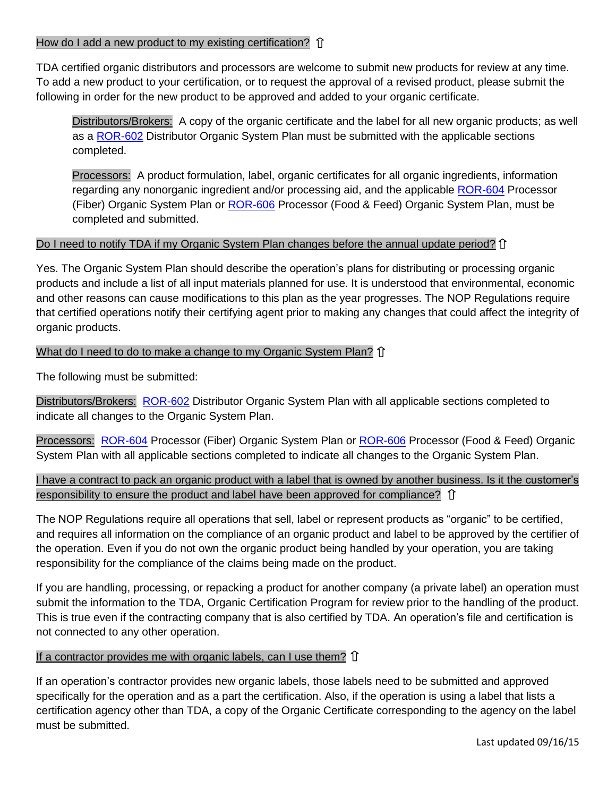#### How do I add a new product to my existing certification?  $\hat{I}$

TDA certified organic distributors and processors are welcome to submit new products for review at any time. To add a new product to your certification, or to request the approval of a revised product, please submit the following in order for the new product to be approved and added to your organic certificate.

Distributors/Brokers: A copy of the organic certificate and the label for all new organic products; as well as a [ROR-602](http://www.texasagriculture.gov/Portals/0/forms/REG/Organics/ror_602_distributor_organic_system_plan.pdf) Distributor Organic System Plan must be submitted with the applicable sections completed.

Processors: A product formulation, label, organic certificates for all organic ingredients, information regarding any nonorganic ingredient and/or processing aid, and the applicable [ROR-604](http://www.texasagriculture.gov/Portals/0/forms/REG/Organics/ror_604_processor_(fiber)_organic_system_plan.pdf) Processor (Fiber) Organic System Plan or **ROR-606** Processor (Food & Feed) Organic System Plan, must be completed and submitted.

#### <span id="page-5-0"></span>Do I need to notify TDA if my Organic System Plan changes before the annual update period? If

Yes. The Organic System Plan should describe the operation's plans for distributing or processing organic products and include a list of all input materials planned for use. It is understood that environmental, economic and other reasons can cause modifications to this plan as the year progresses. The NOP Regulations require that certified operations notify their certifying agent prior to making any changes that could affect the integrity of organic products.

#### <span id="page-5-1"></span>What do I need to do to make a change to my Organic System Plan? 1

The following must be submitted:

Distributors/Brokers: [ROR-602](http://www.texasagriculture.gov/Portals/0/forms/REG/Organics/ror_602_distributor_organic_system_plan.pdf) Distributor Organic System Plan with all applicable sections completed to indicate all changes to the Organic System Plan.

Processors: [ROR-604](http://www.texasagriculture.gov/Portals/0/forms/REG/Organics/ror_604_processor_(fiber)_organic_system_plan.pdf) Processor (Fiber) Organic System Plan or [ROR-606](http://www.texasagriculture.gov/Portals/0/forms/REG/Organics/ror_606_processor_(food_and_feed)_organic_system_plan.pdf) Processor (Food & Feed) Organic System Plan with all applicable sections completed to indicate all changes to the Organic System Plan.

<span id="page-5-2"></span>I have a contract to pack an organic product with a label that is owned by another business. Is it the customer's responsibility to ensure the product and label have been approved for compliance?  $\hat{I}$ 

The NOP Regulations require all operations that sell, label or represent products as "organic" to be certified, and requires all information on the compliance of an organic product and label to be approved by the certifier of the operation. Even if you do not own the organic product being handled by your operation, you are taking responsibility for the compliance of the claims being made on the product.

If you are handling, processing, or repacking a product for another company (a private label) an operation must submit the information to the TDA, Organic Certification Program for review prior to the handling of the product. This is true even if the contracting company that is also certified by TDA. An operation's file and certification is not connected to any other operation.

#### <span id="page-5-3"></span>If a contractor provides me with organic labels, can I use them?  $\hat{U}$

If an operation's contractor provides new organic labels, those labels need to be submitted and approved specifically for the operation and as a part the certification. Also, if the operation is using a label that lists a certification agency other than TDA, a copy of the Organic Certificate corresponding to the agency on the label must be submitted.